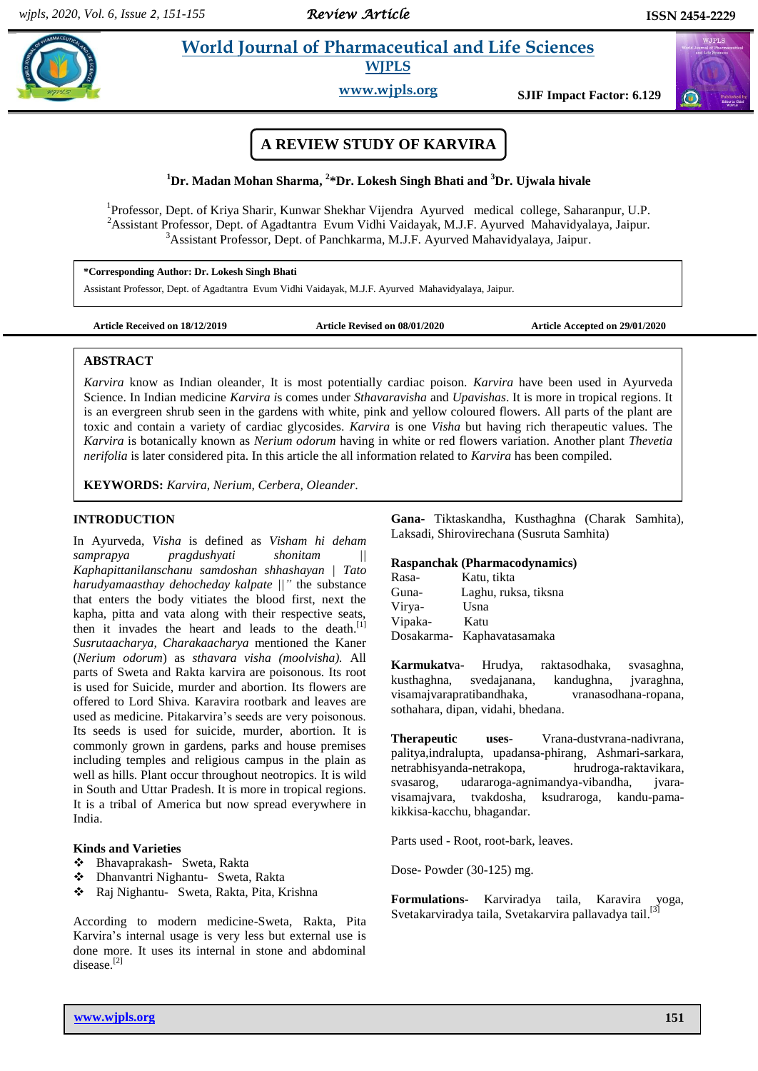# **Paramaceutical and Life Sciences**

**WJPLS**

**www.wjpls.org SJIF Impact Factor: 6.129**

## **A REVIEW STUDY OF KARVIRA**

### **<sup>1</sup>Dr. Madan Mohan Sharma, 2 \*Dr. Lokesh Singh Bhati and <sup>3</sup>Dr. Ujwala hivale**

<sup>1</sup>Professor, Dept. of Kriya Sharir, Kunwar Shekhar Vijendra Ayurved medical college, Saharanpur, U.P. <sup>2</sup>Assistant Professor, Dept. of Agadtantra Evum Vidhi Vaidayak, M.J.F. Ayurved Mahavidyalaya, Jaipur. <sup>3</sup>Assistant Professor, Dept. of Panchkarma, M.J.F. Ayurved Mahavidyalaya, Jaipur.

**\*Corresponding Author: Dr. Lokesh Singh Bhati**

Assistant Professor, Dept. of Agadtantra Evum Vidhi Vaidayak, M.J.F. Ayurved Mahavidyalaya, Jaipur.

**Article Received on 18/12/2019 Article Revised on 08/01/2020 Article Accepted on 29/01/2020**

### **ABSTRACT**

*Karvira* know as Indian oleander, It is most potentially cardiac poison. *Karvira* have been used in Ayurveda Science. In Indian medicine *Karvira i*s comes under *Sthavaravisha* and *Upavishas*. It is more in tropical regions. It is an evergreen shrub seen in the gardens with white, pink and yellow coloured flowers. All parts of the plant are toxic and contain a variety of cardiac glycosides. *Karvira* is one *Visha* but having rich therapeutic values. The *Karvira* is botanically known as *Nerium odorum* having in white or red flowers variation. Another plant *Thevetia nerifolia* is later considered pita. In this article the all information related to *Karvira* has been compiled.

**KEYWORDS:** *Karvira, Nerium, Cerbera, Oleander*.

### **INTRODUCTION**

In Ayurveda, *Visha* is defined as *Visham hi deham samprapya pragdushyati shonitam || Kaphapittanilanschanu samdoshan shhashayan | Tato harudyamaasthay dehocheday kalpate ||"* the substance that enters the body vitiates the blood first, next the kapha, pitta and vata along with their respective seats, then it invades the heart and leads to the death.<sup>[1]</sup> *Susrutaacharya, Charakaacharya* mentioned the Kaner (*Nerium odorum*) as *sthavara visha (moolvisha).* All parts of Sweta and Rakta karvira are poisonous. Its root is used for Suicide, murder and abortion. Its flowers are offered to Lord Shiva. Karavira rootbark and leaves are used as medicine. Pitakarvira's seeds are very poisonous. Its seeds is used for suicide, murder, abortion. It is commonly grown in gardens, parks and house premises including temples and religious campus in the plain as well as hills. Plant occur throughout neotropics. It is wild in South and Uttar Pradesh. It is more in tropical regions. It is a tribal of America but now spread everywhere in India.

### **Kinds and Varieties**

- Bhavaprakash- Sweta, Rakta
- Dhanvantri Nighantu- Sweta, Rakta
- Raj Nighantu- Sweta, Rakta, Pita, Krishna

According to modern medicine-Sweta, Rakta, Pita Karvira's internal usage is very less but external use is done more. It uses its internal in stone and abdominal disease.[2]

**Gana-** Tiktaskandha, Kusthaghna (Charak Samhita), Laksadi, Shirovirechana (Susruta Samhita)

### **Raspanchak (Pharmacodynamics)**

| Rasa-   | Katu, tikta                |
|---------|----------------------------|
| Guna-   | Laghu, ruksa, tiksna       |
| Virya-  | Usna                       |
| Vipaka- | Katu                       |
|         | Dosakarma- Kaphavatasamaka |

**Karmukatv**a- Hrudya, raktasodhaka, svasaghna, kusthaghna, svedajanana, kandughna, jvaraghna, visamajvarapratibandhaka, vranasodhana-ropana, sothahara, dipan, vidahi, bhedana.

**Therapeutic uses**- Vrana-dustvrana-nadivrana, palitya,indralupta, upadansa-phirang, Ashmari-sarkara, netrabhisyanda-netrakopa, hrudroga-raktavikara, svasarog, udararoga-agnimandya-vibandha, jvaravisamajvara, tvakdosha, ksudraroga, kandu-pamakikkisa-kacchu, bhagandar.

Parts used - Root, root-bark, leaves.

Dose- Powder (30-125) mg.

**Formulations-** Karviradya taila, Karavira yoga, Svetakarviradya taila, Svetakarvira pallavadya tail.<sup>[3]</sup>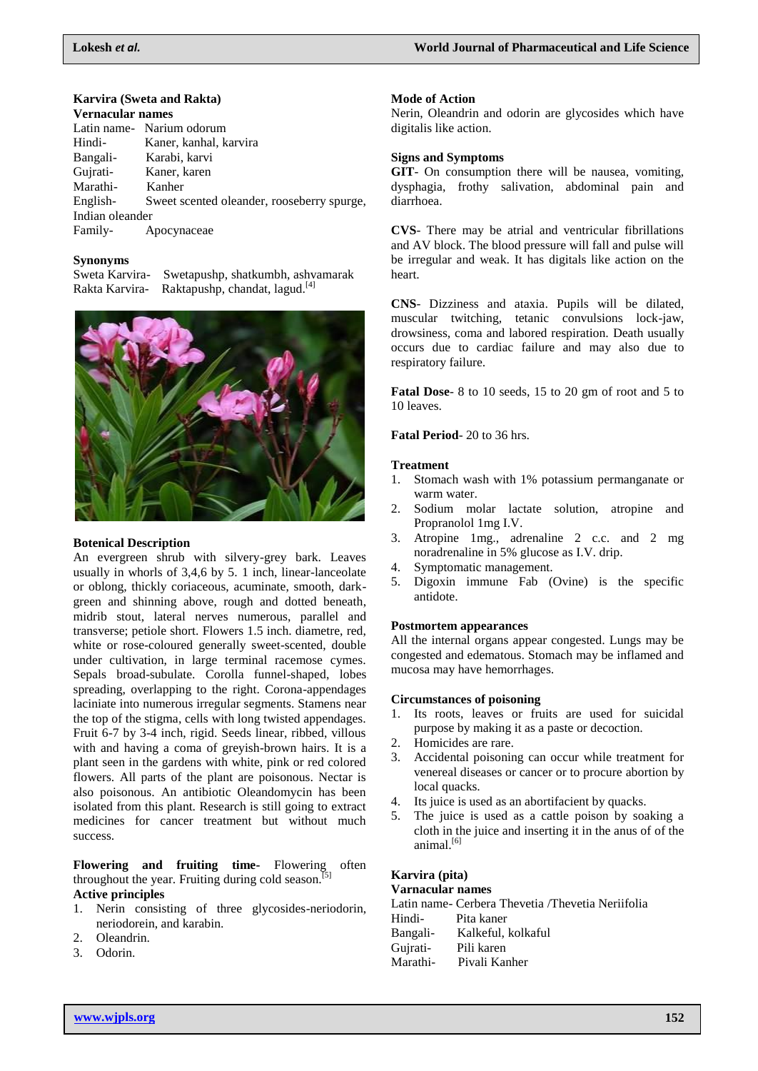### **Karvira (Sweta and Rakta)**

### **Vernacular names**

|                 | Latin name - Narium odorum                 |
|-----------------|--------------------------------------------|
| Hindi-          | Kaner, kanhal, karvira                     |
| Bangali-        | Karabi, karvi                              |
| Gujrati-        | Kaner, karen                               |
| Marathi-        | Kanher                                     |
| English-        | Sweet scented oleander, rooseberry spurge, |
| Indian oleander |                                            |
| Family-         | Apocynaceae                                |
|                 |                                            |

### **Synonyms**

Sweta Karvira- Swetapushp, shatkumbh, ashvamarak Rakta Karvira- Raktapushp, chandat, lagud.<sup>[4]</sup>



### **Botenical Description**

An evergreen shrub with silvery-grey bark. Leaves usually in whorls of 3,4,6 by 5. 1 inch, linear-lanceolate or oblong, thickly coriaceous, acuminate, smooth, darkgreen and shinning above, rough and dotted beneath, midrib stout, lateral nerves numerous, parallel and transverse; petiole short. Flowers 1.5 inch. diametre, red, white or rose-coloured generally sweet-scented, double under cultivation, in large terminal racemose cymes. Sepals broad-subulate. Corolla funnel-shaped, lobes spreading, overlapping to the right. Corona-appendages laciniate into numerous irregular segments. Stamens near the top of the stigma, cells with long twisted appendages. Fruit 6-7 by 3-4 inch, rigid. Seeds linear, ribbed, villous with and having a coma of greyish-brown hairs. It is a plant seen in the gardens with white, pink or red colored flowers. All parts of the plant are poisonous. Nectar is also poisonous. An antibiotic Oleandomycin has been isolated from this plant. Research is still going to extract medicines for cancer treatment but without much success.

### **Flowering and fruiting time-** Flowering often throughout the year. Fruiting during cold season. $\left[5\right]$ **Active principles**

- 1. Nerin consisting of three glycosides-neriodorin, neriodorein, and karabin.
- 2. Oleandrin.
- 3. Odorin.

### **Mode of Action**

Nerin, Oleandrin and odorin are glycosides which have digitalis like action.

### **Signs and Symptoms**

**GIT**- On consumption there will be nausea, vomiting, dysphagia, frothy salivation, abdominal pain and diarrhoea.

**CVS**- There may be atrial and ventricular fibrillations and AV block. The blood pressure will fall and pulse will be irregular and weak. It has digitals like action on the heart.

**CNS**- Dizziness and ataxia. Pupils will be dilated, muscular twitching, tetanic convulsions lock-jaw, drowsiness, coma and labored respiration. Death usually occurs due to cardiac failure and may also due to respiratory failure.

**Fatal Dose**- 8 to 10 seeds, 15 to 20 gm of root and 5 to 10 leaves.

### **Fatal Period**- 20 to 36 hrs.

### **Treatment**

- 1. Stomach wash with 1% potassium permanganate or warm water.
- 2. Sodium molar lactate solution, atropine and Propranolol 1mg I.V.
- 3. Atropine 1mg., adrenaline 2 c.c. and 2 mg noradrenaline in 5% glucose as I.V. drip.
- 4. Symptomatic management.
- 5. Digoxin immune Fab (Ovine) is the specific antidote.

### **Postmortem appearances**

All the internal organs appear congested. Lungs may be congested and edematous. Stomach may be inflamed and mucosa may have hemorrhages.

### **Circumstances of poisoning**

- 1. Its roots, leaves or fruits are used for suicidal purpose by making it as a paste or decoction.
- 2. Homicides are rare.
- 3. Accidental poisoning can occur while treatment for venereal diseases or cancer or to procure abortion by local quacks.
- 4. Its juice is used as an abortifacient by quacks.
- 5. The juice is used as a cattle poison by soaking a cloth in the juice and inserting it in the anus of of the animal.<sup>[6]</sup>

### **Karvira (pita)**

### **Varnacular names**

Latin name- Cerbera Thevetia /Thevetia Neriifolia Hindi- Pita kaner Bangali- Kalkeful, kolkaful Gujrati- Pili karen Marathi- Pivali Kanher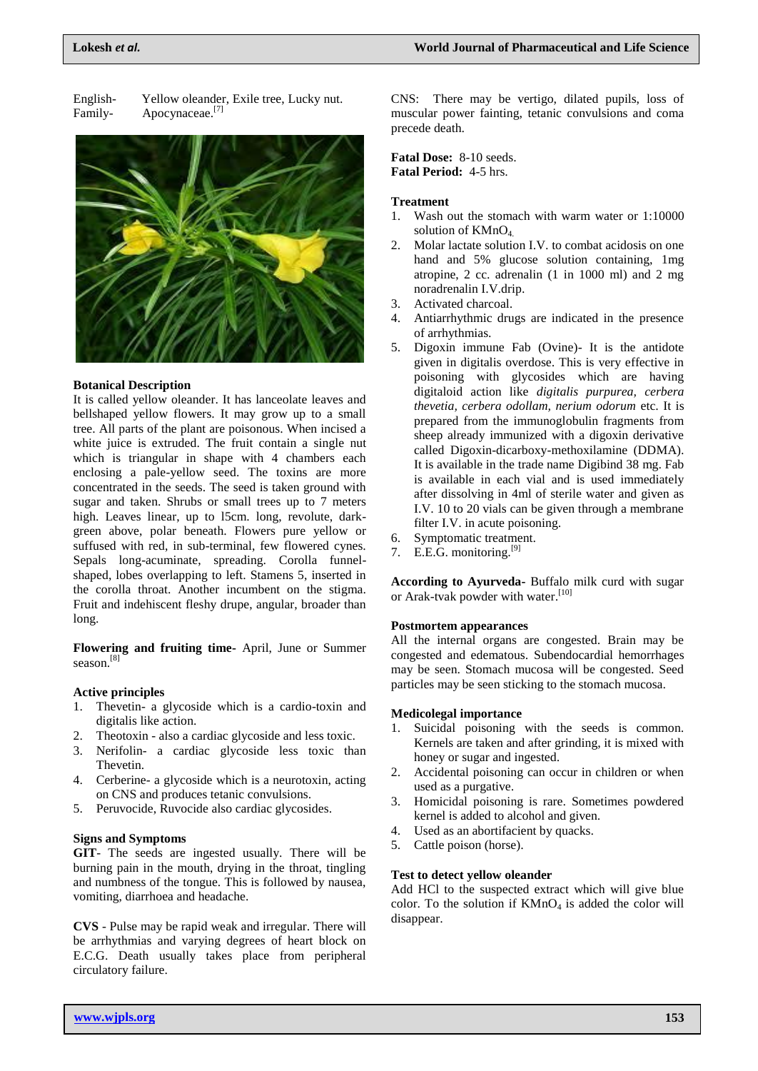English- Yellow oleander, Exile tree, Lucky nut. Family- Apocynaceae.<sup>[7]</sup>



#### **Botanical Description**

It is called yellow oleander. It has lanceolate leaves and bellshaped yellow flowers. It may grow up to a small tree. All parts of the plant are poisonous. When incised a white juice is extruded. The fruit contain a single nut which is triangular in shape with 4 chambers each enclosing a pale-yellow seed. The toxins are more concentrated in the seeds. The seed is taken ground with sugar and taken. Shrubs or small trees up to 7 meters high. Leaves linear, up to l5cm. long, revolute, darkgreen above, polar beneath. Flowers pure yellow or suffused with red, in sub-terminal, few flowered cynes. Sepals long-acuminate, spreading. Corolla funnelshaped, lobes overlapping to left. Stamens 5, inserted in the corolla throat. Another incumbent on the stigma. Fruit and indehiscent fleshy drupe, angular, broader than long.

**Flowering and fruiting time-** April, June or Summer season. [8]

### **Active principles**

- 1. Thevetin- a glycoside which is a cardio-toxin and digitalis like action.
- 2. Theotoxin also a cardiac glycoside and less toxic.
- 3. Nerifolin- a cardiac glycoside less toxic than Thevetin.
- 4. Cerberine- a glycoside which is a neurotoxin, acting on CNS and produces tetanic convulsions.
- 5. Peruvocide, Ruvocide also cardiac glycosides.

### **Signs and Symptoms**

**GIT**- The seeds are ingested usually. There will be burning pain in the mouth, drying in the throat, tingling and numbness of the tongue. This is followed by nausea, vomiting, diarrhoea and headache.

**CVS** - Pulse may be rapid weak and irregular. There will be arrhythmias and varying degrees of heart block on E.C.G. Death usually takes place from peripheral circulatory failure.

CNS: There may be vertigo, dilated pupils, loss of muscular power fainting, tetanic convulsions and coma precede death.

**Fatal Dose:** 8-10 seeds. **Fatal Period:** 4-5 hrs.

### **Treatment**

- 1. Wash out the stomach with warm water or 1:10000 solution of KMnO<sub>4</sub>
- 2. Molar lactate solution I.V. to combat acidosis on one hand and 5% glucose solution containing, 1mg atropine, 2 cc. adrenalin (1 in 1000 ml) and 2 mg noradrenalin I.V.drip.
- 3. Activated charcoal.
- 4. Antiarrhythmic drugs are indicated in the presence of arrhythmias.
- 5. Digoxin immune Fab (Ovine)- It is the antidote given in digitalis overdose. This is very effective in poisoning with glycosides which are having digitaloid action like *digitalis purpurea, cerbera thevetia, cerbera odollam, nerium odorum* etc. It is prepared from the immunoglobulin fragments from sheep already immunized with a digoxin derivative called Digoxin-dicarboxy-methoxilamine (DDMA). It is available in the trade name Digibind 38 mg. Fab is available in each vial and is used immediately after dissolving in 4ml of sterile water and given as I.V. 10 to 20 vials can be given through a membrane filter I.V. in acute poisoning.
- 6. Symptomatic treatment.
- 7. E.E.G. monitoring. $[9]$

**According to Ayurveda-** Buffalo milk curd with sugar or Arak-tvak powder with water.<sup>[10]</sup>

### **Postmortem appearances**

All the internal organs are congested. Brain may be congested and edematous. Subendocardial hemorrhages may be seen. Stomach mucosa will be congested. Seed particles may be seen sticking to the stomach mucosa.

#### **Medicolegal importance**

- 1. Suicidal poisoning with the seeds is common. Kernels are taken and after grinding, it is mixed with honey or sugar and ingested.
- 2. Accidental poisoning can occur in children or when used as a purgative.
- 3. Homicidal poisoning is rare. Sometimes powdered kernel is added to alcohol and given.
- 4. Used as an abortifacient by quacks.
- 5. Cattle poison (horse).

### **Test to detect yellow oleander**

Add HCl to the suspected extract which will give blue color. To the solution if  $KMnO<sub>4</sub>$  is added the color will disappear.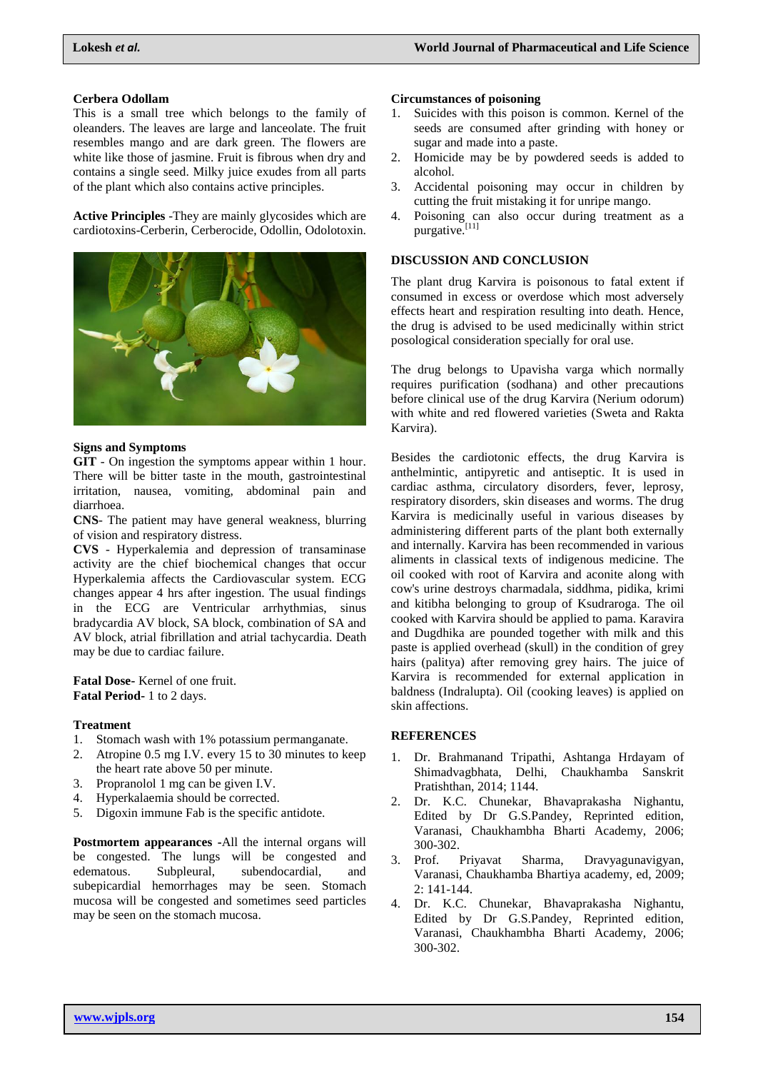### **Cerbera Odollam**

This is a small tree which belongs to the family of oleanders. The leaves are large and lanceolate. The fruit resembles mango and are dark green. The flowers are white like those of jasmine. Fruit is fibrous when dry and contains a single seed. Milky juice exudes from all parts of the plant which also contains active principles.

**Active Principles** -They are mainly glycosides which are cardiotoxins-Cerberin, Cerberocide, Odollin, Odolotoxin.



#### **Signs and Symptoms**

**GIT** - On ingestion the symptoms appear within 1 hour. There will be bitter taste in the mouth, gastrointestinal irritation, nausea, vomiting, abdominal pain and diarrhoea.

**CNS**- The patient may have general weakness, blurring of vision and respiratory distress.

**CVS** - Hyperkalemia and depression of transaminase activity are the chief biochemical changes that occur Hyperkalemia affects the Cardiovascular system. ECG changes appear 4 hrs after ingestion. The usual findings in the ECG are Ventricular arrhythmias, sinus bradycardia AV block, SA block, combination of SA and AV block, atrial fibrillation and atrial tachycardia. Death may be due to cardiac failure.

**Fatal Dose-** Kernel of one fruit. **Fatal Period-** 1 to 2 days.

### **Treatment**

- 1. Stomach wash with 1% potassium permanganate.
- 2. Atropine 0.5 mg I.V. every 15 to 30 minutes to keep the heart rate above 50 per minute.
- 3. Propranolol 1 mg can be given I.V.
- 4. Hyperkalaemia should be corrected.
- 5. Digoxin immune Fab is the specific antidote.

**Postmortem appearances -**All the internal organs will be congested. The lungs will be congested and<br>edematous. Subpleural, subendocardial, and edematous. Subpleural, subendocardial, and subepicardial hemorrhages may be seen. Stomach mucosa will be congested and sometimes seed particles may be seen on the stomach mucosa.

### **Circumstances of poisoning**

- 1. Suicides with this poison is common. Kernel of the seeds are consumed after grinding with honey or sugar and made into a paste.
- 2. Homicide may be by powdered seeds is added to alcohol.
- 3. Accidental poisoning may occur in children by cutting the fruit mistaking it for unripe mango.
- 4. Poisoning can also occur during treatment as a purgative.<sup>[11]</sup>

### **DISCUSSION AND CONCLUSION**

The plant drug Karvira is poisonous to fatal extent if consumed in excess or overdose which most adversely effects heart and respiration resulting into death. Hence, the drug is advised to be used medicinally within strict posological consideration specially for oral use.

The drug belongs to Upavisha varga which normally requires purification (sodhana) and other precautions before clinical use of the drug Karvira (Nerium odorum) with white and red flowered varieties (Sweta and Rakta Karvira).

Besides the cardiotonic effects, the drug Karvira is anthelmintic, antipyretic and antiseptic. It is used in cardiac asthma, circulatory disorders, fever, leprosy, respiratory disorders, skin diseases and worms. The drug Karvira is medicinally useful in various diseases by administering different parts of the plant both externally and internally. Karvira has been recommended in various aliments in classical texts of indigenous medicine. The oil cooked with root of Karvira and aconite along with cow's urine destroys charmadala, siddhma, pidika, krimi and kitibha belonging to group of Ksudraroga. The oil cooked with Karvira should be applied to pama. Karavira and Dugdhika are pounded together with milk and this paste is applied overhead (skull) in the condition of grey hairs (palitya) after removing grey hairs. The juice of Karvira is recommended for external application in baldness (Indralupta). Oil (cooking leaves) is applied on skin affections.

### **REFERENCES**

- 1. Dr. Brahmanand Tripathi, Ashtanga Hrdayam of Shimadvagbhata, Delhi, Chaukhamba Sanskrit Pratishthan, 2014; 1144.
- 2. Dr. K.C. Chunekar, Bhavaprakasha Nighantu, Edited by Dr G.S.Pandey, Reprinted edition, Varanasi, Chaukhambha Bharti Academy, 2006; 300-302.
- 3. Prof. Priyavat Sharma, Dravyagunavigyan, Varanasi, Chaukhamba Bhartiya academy, ed, 2009; 2: 141-144.
- 4. Dr. K.C. Chunekar, Bhavaprakasha Nighantu, Edited by Dr G.S.Pandey, Reprinted edition, Varanasi, Chaukhambha Bharti Academy, 2006; 300-302.